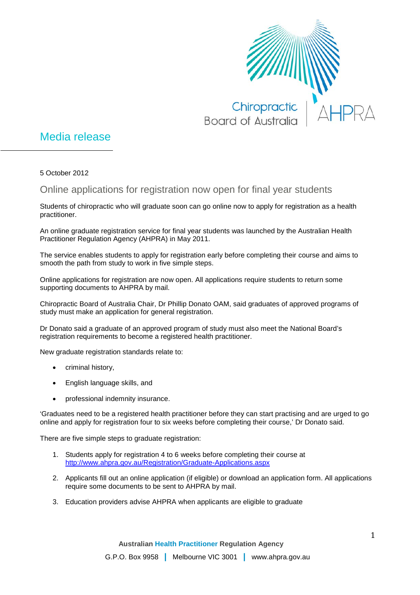

## Media release

5 October 2012

Online applications for registration now open for final year students

Students of chiropractic who will graduate soon can go online now to apply for registration as a health practitioner.

An online graduate registration service for final year students was launched by the Australian Health Practitioner Regulation Agency (AHPRA) in May 2011.

The service enables students to apply for registration early before completing their course and aims to smooth the path from study to work in five simple steps.

Online applications for registration are now open. All applications require students to return some supporting documents to AHPRA by mail.

Chiropractic Board of Australia Chair, Dr Phillip Donato OAM, said graduates of approved programs of study must make an application for general registration.

Dr Donato said a graduate of an approved program of study must also meet the National Board's registration requirements to become a registered health practitioner.

New graduate registration standards relate to:

- criminal history,
- English language skills, and
- professional indemnity insurance.

'Graduates need to be a registered health practitioner before they can start practising and are urged to go online and apply for registration four to six weeks before completing their course,' Dr Donato said.

There are five simple steps to graduate registration:

- 1. Students apply for registration 4 to 6 weeks before completing their course at <http://www.ahpra.gov.au/Registration/Graduate-Applications.aspx>
- 2. Applicants fill out an online application (if eligible) or download an application form. All applications require some documents to be sent to AHPRA by mail.
- 3. Education providers advise AHPRA when applicants are eligible to graduate